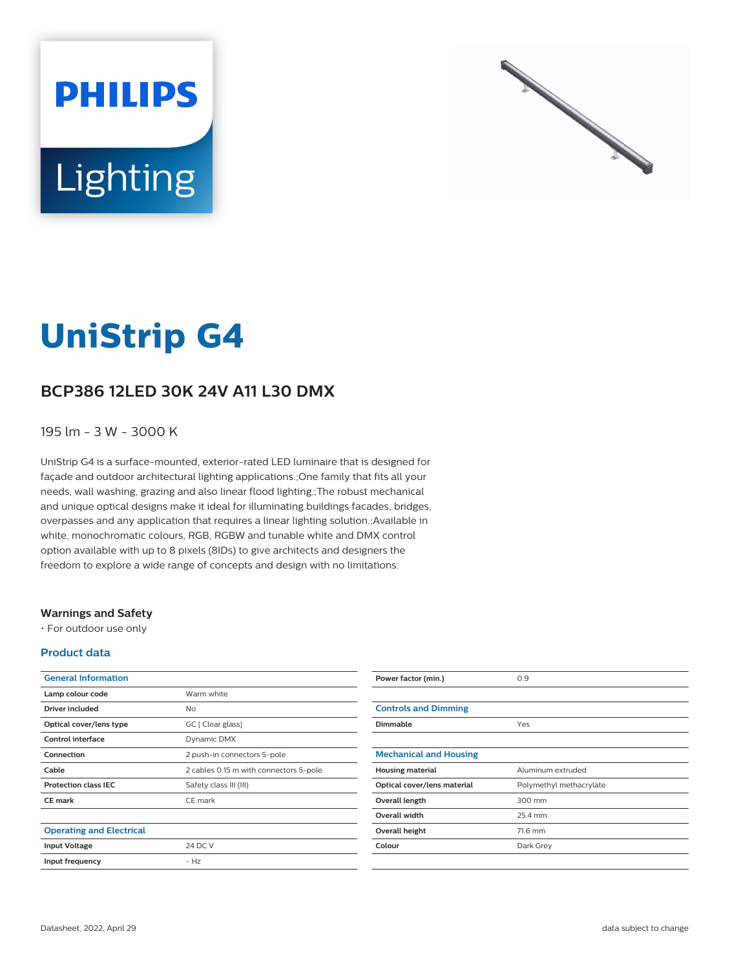



# **UniStrip G4**

## **BCP386 12LED 30K 24V A11 L30 DMX**

### 195 lm - 3 W - 3000 K

UniStrip G4 is a surface-mounted, exterior-rated LED luminaire that is designed for façade and outdoor architectural lighting applications.;One family that fits all your needs, wall washing, grazing and also linear flood lighting.;The robust mechanical and unique optical designs make it ideal for illuminating buildings facades, bridges, overpasses and any application that requires a linear lighting solution.;Available in white, monochromatic colours, RGB, RGBW and tunable white and DMX control option available with up to 8 pixels (8IDs) to give architects and designers the freedom to explore a wide range of concepts and design with no limitations.

#### **Warnings and Safety**

• For outdoor use only

#### **Product data**

| <b>General Information</b>      |                                        |
|---------------------------------|----------------------------------------|
| Lamp colour code                | Warm white                             |
| Driver included                 | Nο                                     |
| Optical cover/lens type         | GC [ Clear glass]                      |
| Control interface               | Dynamic DMX                            |
| Connection                      | 2 push-in connectors 5-pole            |
| Cable                           | 2 cables 0.15 m with connectors 5-pole |
| <b>Protection class IEC</b>     | Safety class III (III)                 |
| <b>CE</b> mark                  | CE mark                                |
|                                 |                                        |
| <b>Operating and Electrical</b> |                                        |
| <b>Input Voltage</b>            | 24 DC V                                |
| Input frequency                 | $- H7$                                 |
|                                 |                                        |

| Power factor (min.)           | 0.9                     |
|-------------------------------|-------------------------|
|                               |                         |
| <b>Controls and Dimming</b>   |                         |
| <b>Dimmable</b>               | Yes                     |
|                               |                         |
| <b>Mechanical and Housing</b> |                         |
| <b>Housing material</b>       | Aluminum extruded       |
| Optical cover/lens material   | Polymethyl methacrylate |
| Overall length                | 300 mm                  |
| <b>Overall width</b>          | 25.4 mm                 |
| Overall height                | 71.6 mm                 |
| Colour                        | Dark Grey               |
|                               |                         |